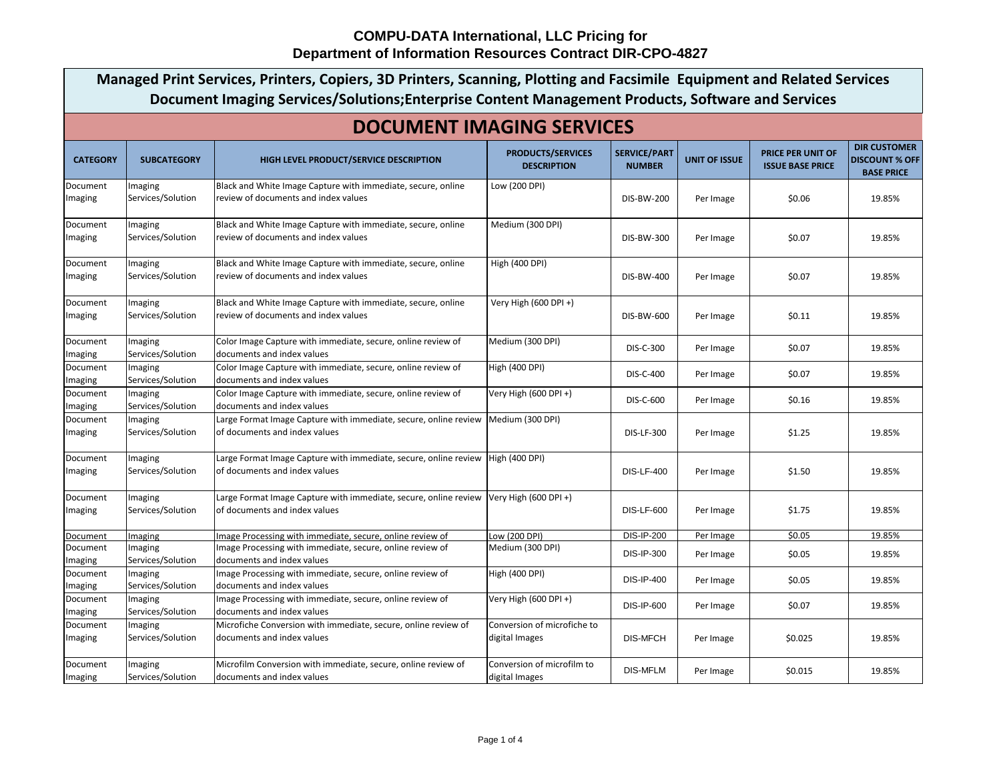$\Gamma$ 

|                     | Managed Print Services, Printers, Copiers, 3D Printers, Scanning, Plotting and Facsimile Equipment and Related Services<br>Document Imaging Services/Solutions; Enterprise Content Management Products, Software and Services<br><b>DOCUMENT IMAGING SERVICES</b> |                                                                                                                         |                                                |                                      |                      |                                              |                                                                   |  |
|---------------------|-------------------------------------------------------------------------------------------------------------------------------------------------------------------------------------------------------------------------------------------------------------------|-------------------------------------------------------------------------------------------------------------------------|------------------------------------------------|--------------------------------------|----------------------|----------------------------------------------|-------------------------------------------------------------------|--|
|                     |                                                                                                                                                                                                                                                                   |                                                                                                                         |                                                |                                      |                      |                                              |                                                                   |  |
| <b>CATEGORY</b>     | <b>SUBCATEGORY</b>                                                                                                                                                                                                                                                | HIGH LEVEL PRODUCT/SERVICE DESCRIPTION                                                                                  | <b>PRODUCTS/SERVICES</b><br><b>DESCRIPTION</b> | <b>SERVICE/PART</b><br><b>NUMBER</b> | <b>UNIT OF ISSUE</b> | PRICE PER UNIT OF<br><b>ISSUE BASE PRICE</b> | <b>DIR CUSTOMER</b><br><b>DISCOUNT % OFF</b><br><b>BASE PRICE</b> |  |
| Document<br>Imaging | Imaging<br>Services/Solution                                                                                                                                                                                                                                      | Black and White Image Capture with immediate, secure, online<br>review of documents and index values                    | Low (200 DPI)                                  | <b>DIS-BW-200</b>                    | Per Image            | \$0.06                                       | 19.85%                                                            |  |
| Document<br>Imaging | Imaging<br>Services/Solution                                                                                                                                                                                                                                      | Black and White Image Capture with immediate, secure, online<br>review of documents and index values                    | Medium (300 DPI)                               | DIS-BW-300                           | Per Image            | \$0.07                                       | 19.85%                                                            |  |
| Document<br>Imaging | Imaging<br>Services/Solution                                                                                                                                                                                                                                      | Black and White Image Capture with immediate, secure, online<br>review of documents and index values                    | High (400 DPI)                                 | <b>DIS-BW-400</b>                    | Per Image            | \$0.07                                       | 19.85%                                                            |  |
| Document<br>Imaging | Imaging<br>Services/Solution                                                                                                                                                                                                                                      | Black and White Image Capture with immediate, secure, online<br>review of documents and index values                    | Very High (600 DPI +)                          | <b>DIS-BW-600</b>                    | Per Image            | \$0.11                                       | 19.85%                                                            |  |
| Document<br>Imaging | Imaging<br>Services/Solution                                                                                                                                                                                                                                      | Color Image Capture with immediate, secure, online review of<br>documents and index values                              | Medium (300 DPI)                               | DIS-C-300                            | Per Image            | \$0.07                                       | 19.85%                                                            |  |
| Document<br>Imaging | Imaging<br>Services/Solution                                                                                                                                                                                                                                      | Color Image Capture with immediate, secure, online review of<br>documents and index values                              | <b>High (400 DPI)</b>                          | DIS-C-400                            | Per Image            | \$0.07                                       | 19.85%                                                            |  |
| Document<br>Imaging | Imaging<br>Services/Solution                                                                                                                                                                                                                                      | Color Image Capture with immediate, secure, online review of<br>documents and index values                              | Very High (600 DPI +)                          | DIS-C-600                            | Per Image            | \$0.16                                       | 19.85%                                                            |  |
| Document<br>Imaging | Imaging<br>Services/Solution                                                                                                                                                                                                                                      | Large Format Image Capture with immediate, secure, online review  Medium (300 DPI)<br>of documents and index values     |                                                | <b>DIS-LF-300</b>                    | Per Image            | \$1.25                                       | 19.85%                                                            |  |
| Document<br>Imaging | Imaging<br>Services/Solution                                                                                                                                                                                                                                      | Large Format Image Capture with immediate, secure, online review   High (400 DPI)<br>of documents and index values      |                                                | <b>DIS-LF-400</b>                    | Per Image            | \$1.50                                       | 19.85%                                                            |  |
| Document<br>Imaging | Imaging<br>Services/Solution                                                                                                                                                                                                                                      | Large Format Image Capture with immediate, secure, online review Very High (600 DPI +)<br>of documents and index values |                                                | <b>DIS-LF-600</b>                    | Per Image            | \$1.75                                       | 19.85%                                                            |  |
| Document            | Imaging                                                                                                                                                                                                                                                           | Image Processing with immediate, secure, online review of                                                               | Low (200 DPI)                                  | <b>DIS-IP-200</b>                    | Per Image            | \$0.05                                       | 19.85%                                                            |  |
| Document<br>Imaging | Imaging<br>Services/Solution                                                                                                                                                                                                                                      | Image Processing with immediate, secure, online review of<br>documents and index values                                 | Medium (300 DPI)                               | <b>DIS-IP-300</b>                    | Per Image            | \$0.05                                       | 19.85%                                                            |  |
| Document<br>Imaging | Imaging<br>Services/Solution                                                                                                                                                                                                                                      | Image Processing with immediate, secure, online review of<br>documents and index values                                 | <b>High (400 DPI)</b>                          | <b>DIS-IP-400</b>                    | Per Image            | \$0.05                                       | 19.85%                                                            |  |
| Document<br>Imaging | Imaging<br>Services/Solution                                                                                                                                                                                                                                      | Image Processing with immediate, secure, online review of<br>documents and index values                                 | Very High (600 DPI +)                          | <b>DIS-IP-600</b>                    | Per Image            | \$0.07                                       | 19.85%                                                            |  |
| Document<br>Imaging | Imaging<br>Services/Solution                                                                                                                                                                                                                                      | Microfiche Conversion with immediate, secure, online review of<br>documents and index values                            | Conversion of microfiche to<br>digital Images  | <b>DIS-MFCH</b>                      | Per Image            | \$0.025                                      | 19.85%                                                            |  |
| Document<br>Imaging | Imaging<br>Services/Solution                                                                                                                                                                                                                                      | Microfilm Conversion with immediate, secure, online review of<br>documents and index values                             | Conversion of microfilm to<br>digital Images   | <b>DIS-MFLM</b>                      | Per Image            | \$0.015                                      | 19.85%                                                            |  |

┑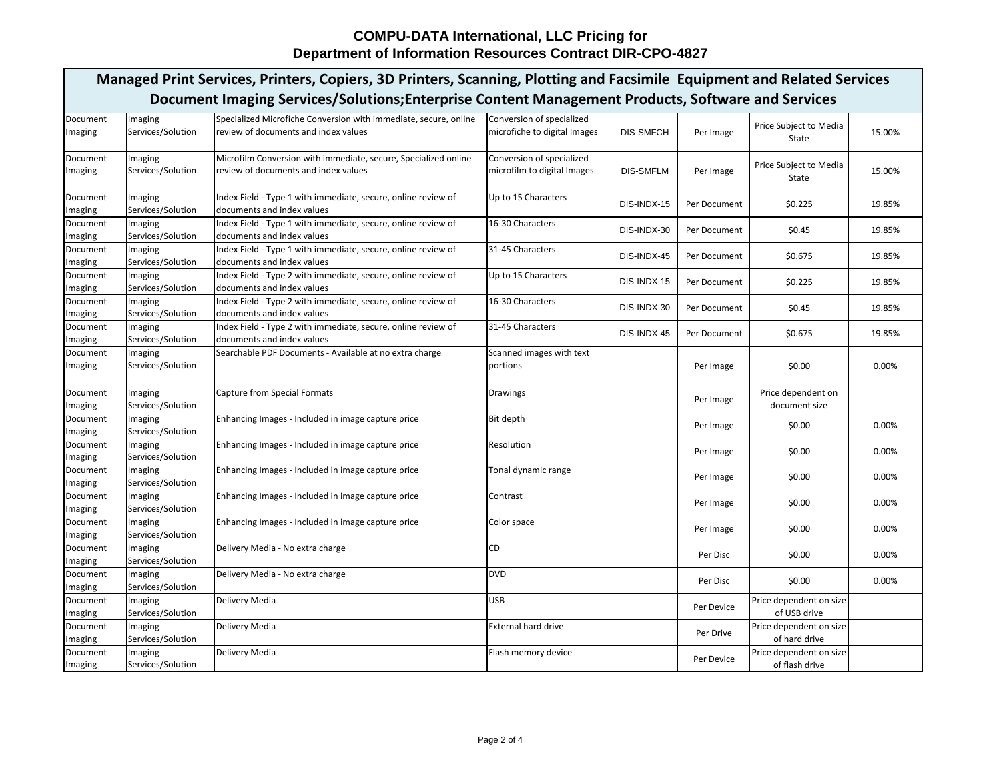| Managed Print Services, Printers, Copiers, 3D Printers, Scanning, Plotting and Facsimile Equipment and Related Services<br>Document Imaging Services/Solutions; Enterprise Content Management Products, Software and Services |                              |                                                                                                          |                                                           |                  |              |                                           |          |  |
|-------------------------------------------------------------------------------------------------------------------------------------------------------------------------------------------------------------------------------|------------------------------|----------------------------------------------------------------------------------------------------------|-----------------------------------------------------------|------------------|--------------|-------------------------------------------|----------|--|
|                                                                                                                                                                                                                               |                              |                                                                                                          |                                                           |                  |              |                                           |          |  |
| Document<br>Imaging                                                                                                                                                                                                           | Imaging<br>Services/Solution | Specialized Microfiche Conversion with immediate, secure, online<br>review of documents and index values | Conversion of specialized<br>microfiche to digital Images | <b>DIS-SMFCH</b> | Per Image    | Price Subject to Media<br>State           | 15.00%   |  |
| Document<br>Imaging                                                                                                                                                                                                           | Imaging<br>Services/Solution | Microfilm Conversion with immediate, secure, Specialized online<br>review of documents and index values  | Conversion of specialized<br>microfilm to digital Images  | <b>DIS-SMFLM</b> | Per Image    | Price Subject to Media<br>State           | 15.00%   |  |
| Document<br>Imaging                                                                                                                                                                                                           | Imaging<br>Services/Solution | Index Field - Type 1 with immediate, secure, online review of<br>documents and index values              | Up to 15 Characters                                       | DIS-INDX-15      | Per Document | \$0.225                                   | 19.85%   |  |
| Document<br>Imaging                                                                                                                                                                                                           | Imaging<br>Services/Solution | Index Field - Type 1 with immediate, secure, online review of<br>documents and index values              | 16-30 Characters                                          | DIS-INDX-30      | Per Document | \$0.45                                    | 19.85%   |  |
| Document<br>Imaging                                                                                                                                                                                                           | Imaging<br>Services/Solution | Index Field - Type 1 with immediate, secure, online review of<br>documents and index values              | 31-45 Characters                                          | DIS-INDX-45      | Per Document | \$0.675                                   | 19.85%   |  |
| Document<br>Imaging                                                                                                                                                                                                           | Imaging<br>Services/Solution | Index Field - Type 2 with immediate, secure, online review of<br>documents and index values              | Up to 15 Characters                                       | DIS-INDX-15      | Per Document | \$0.225                                   | 19.85%   |  |
| Document<br>Imaging                                                                                                                                                                                                           | Imaging<br>Services/Solution | Index Field - Type 2 with immediate, secure, online review of<br>documents and index values              | 16-30 Characters                                          | DIS-INDX-30      | Per Document | \$0.45                                    | 19.85%   |  |
| Document<br>Imaging                                                                                                                                                                                                           | Imaging<br>Services/Solution | Index Field - Type 2 with immediate, secure, online review of<br>documents and index values              | 31-45 Characters                                          | DIS-INDX-45      | Per Document | \$0.675                                   | 19.85%   |  |
| Document<br>Imaging                                                                                                                                                                                                           | Imaging<br>Services/Solution | Searchable PDF Documents - Available at no extra charge                                                  | Scanned images with text<br>portions                      |                  | Per Image    | \$0.00                                    | 0.00%    |  |
| Document<br>Imaging                                                                                                                                                                                                           | Imaging<br>Services/Solution | <b>Capture from Special Formats</b>                                                                      | Drawings                                                  |                  | Per Image    | Price dependent on<br>document size       |          |  |
| Document<br>Imaging                                                                                                                                                                                                           | Imaging<br>Services/Solution | Enhancing Images - Included in image capture price                                                       | Bit depth                                                 |                  | Per Image    | \$0.00                                    | 0.00%    |  |
| Document<br>Imaging                                                                                                                                                                                                           | Imaging<br>Services/Solution | Enhancing Images - Included in image capture price                                                       | Resolution                                                |                  | Per Image    | \$0.00                                    | 0.00%    |  |
| Document<br>Imaging                                                                                                                                                                                                           | Imaging<br>Services/Solution | Enhancing Images - Included in image capture price                                                       | Tonal dynamic range                                       |                  | Per Image    | \$0.00                                    | 0.00%    |  |
| Document<br>Imaging                                                                                                                                                                                                           | Imaging<br>Services/Solution | Enhancing Images - Included in image capture price                                                       | Contrast                                                  |                  | Per Image    | \$0.00                                    | $0.00\%$ |  |
| Document<br>Imaging                                                                                                                                                                                                           | Imaging<br>Services/Solution | Enhancing Images - Included in image capture price                                                       | Color space                                               |                  | Per Image    | \$0.00                                    | 0.00%    |  |
| Document<br>Imaging                                                                                                                                                                                                           | Imaging<br>Services/Solution | Delivery Media - No extra charge                                                                         | <b>CD</b>                                                 |                  | Per Disc     | \$0.00                                    | 0.00%    |  |
| Document<br>Imaging                                                                                                                                                                                                           | Imaging<br>Services/Solution | Delivery Media - No extra charge                                                                         | <b>DVD</b>                                                |                  | Per Disc     | \$0.00                                    | 0.00%    |  |
| Document<br>Imaging                                                                                                                                                                                                           | Imaging<br>Services/Solution | Delivery Media                                                                                           | <b>USB</b>                                                |                  | Per Device   | Price dependent on size<br>of USB drive   |          |  |
| Document<br>Imaging                                                                                                                                                                                                           | Imaging<br>Services/Solution | Delivery Media                                                                                           | <b>External hard drive</b>                                |                  | Per Drive    | Price dependent on size<br>of hard drive  |          |  |
| Document<br>Imaging                                                                                                                                                                                                           | Imaging<br>Services/Solution | Delivery Media                                                                                           | Flash memory device                                       |                  | Per Device   | Price dependent on size<br>of flash drive |          |  |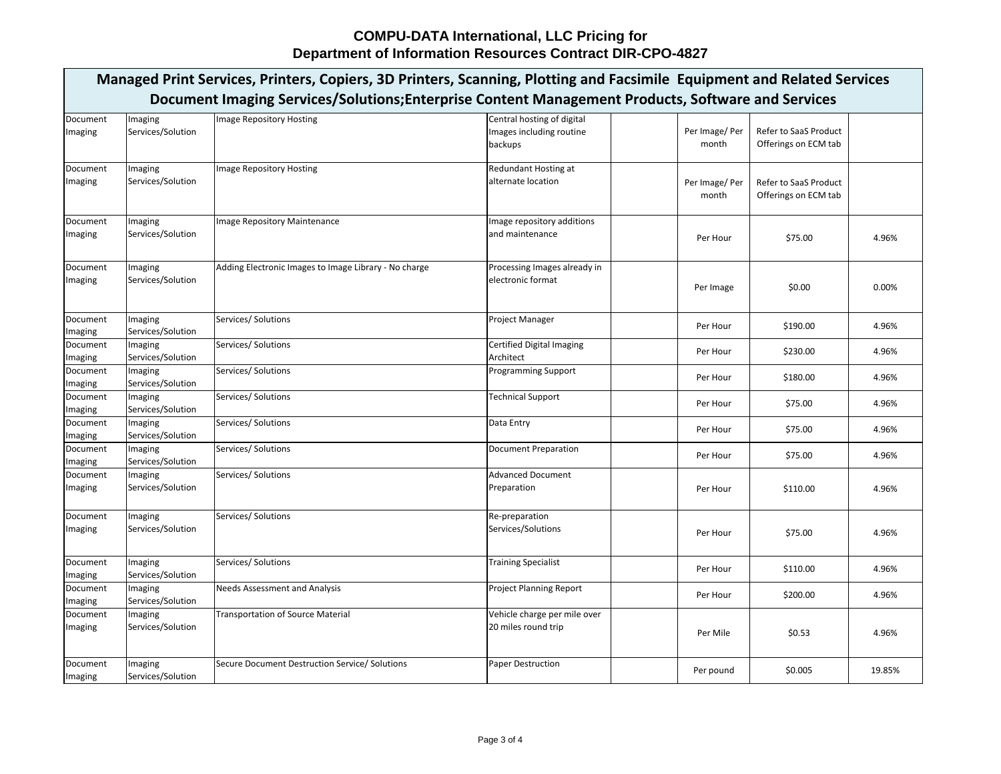|                     | Managed Print Services, Printers, Copiers, 3D Printers, Scanning, Plotting and Facsimile Equipment and Related Services |                                                       |                                                                   |                         |                                                      |        |  |  |  |
|---------------------|-------------------------------------------------------------------------------------------------------------------------|-------------------------------------------------------|-------------------------------------------------------------------|-------------------------|------------------------------------------------------|--------|--|--|--|
|                     | Document Imaging Services/Solutions; Enterprise Content Management Products, Software and Services                      |                                                       |                                                                   |                         |                                                      |        |  |  |  |
| Document<br>Imaging | Imaging<br>Services/Solution                                                                                            | Image Repository Hosting                              | Central hosting of digital<br>Images including routine<br>backups | Per Image/ Per<br>month | <b>Refer to SaaS Product</b><br>Offerings on ECM tab |        |  |  |  |
| Document<br>Imaging | Imaging<br>Services/Solution                                                                                            | Image Repository Hosting                              | <b>Redundant Hosting at</b><br>alternate location                 | Per Image/ Per<br>month | Refer to SaaS Product<br>Offerings on ECM tab        |        |  |  |  |
| Document<br>Imaging | Imaging<br>Services/Solution                                                                                            | Image Repository Maintenance                          | Image repository additions<br>and maintenance                     | Per Hour                | \$75.00                                              | 4.96%  |  |  |  |
| Document<br>Imaging | Imaging<br>Services/Solution                                                                                            | Adding Electronic Images to Image Library - No charge | Processing Images already in<br>electronic format                 | Per Image               | \$0.00                                               | 0.00%  |  |  |  |
| Document<br>Imaging | Imaging<br>Services/Solution                                                                                            | Services/ Solutions                                   | <b>Project Manager</b>                                            | Per Hour                | \$190.00                                             | 4.96%  |  |  |  |
| Document<br>Imaging | Imaging<br>Services/Solution                                                                                            | Services/ Solutions                                   | Certified Digital Imaging<br>Architect                            | Per Hour                | \$230.00                                             | 4.96%  |  |  |  |
| Document<br>Imaging | Imaging<br>Services/Solution                                                                                            | Services/ Solutions                                   | <b>Programming Support</b>                                        | Per Hour                | \$180.00                                             | 4.96%  |  |  |  |
| Document<br>Imaging | Imaging<br>Services/Solution                                                                                            | Services/ Solutions                                   | <b>Technical Support</b>                                          | Per Hour                | \$75.00                                              | 4.96%  |  |  |  |
| Document<br>Imaging | Imaging<br>Services/Solution                                                                                            | Services/ Solutions                                   | Data Entry                                                        | Per Hour                | \$75.00                                              | 4.96%  |  |  |  |
| Document<br>Imaging | Imaging<br>Services/Solution                                                                                            | Services/ Solutions                                   | Document Preparation                                              | Per Hour                | \$75.00                                              | 4.96%  |  |  |  |
| Document<br>Imaging | Imaging<br>Services/Solution                                                                                            | Services/ Solutions                                   | <b>Advanced Document</b><br>Preparation                           | Per Hour                | \$110.00                                             | 4.96%  |  |  |  |
| Document<br>Imaging | Imaging<br>Services/Solution                                                                                            | Services/ Solutions                                   | Re-preparation<br>Services/Solutions                              | Per Hour                | \$75.00                                              | 4.96%  |  |  |  |
| Document<br>Imaging | Imaging<br>Services/Solution                                                                                            | Services/ Solutions                                   | <b>Training Specialist</b>                                        | Per Hour                | \$110.00                                             | 4.96%  |  |  |  |
| Document<br>Imaging | Imaging<br>Services/Solution                                                                                            | <b>Needs Assessment and Analysis</b>                  | <b>Project Planning Report</b>                                    | Per Hour                | \$200.00                                             | 4.96%  |  |  |  |
| Document<br>Imaging | Imaging<br>Services/Solution                                                                                            | Transportation of Source Material                     | Vehicle charge per mile over<br>20 miles round trip               | Per Mile                | \$0.53                                               | 4.96%  |  |  |  |
| Document<br>Imaging | Imaging<br>Services/Solution                                                                                            | Secure Document Destruction Service/ Solutions        | Paper Destruction                                                 | Per pound               | \$0.005                                              | 19.85% |  |  |  |